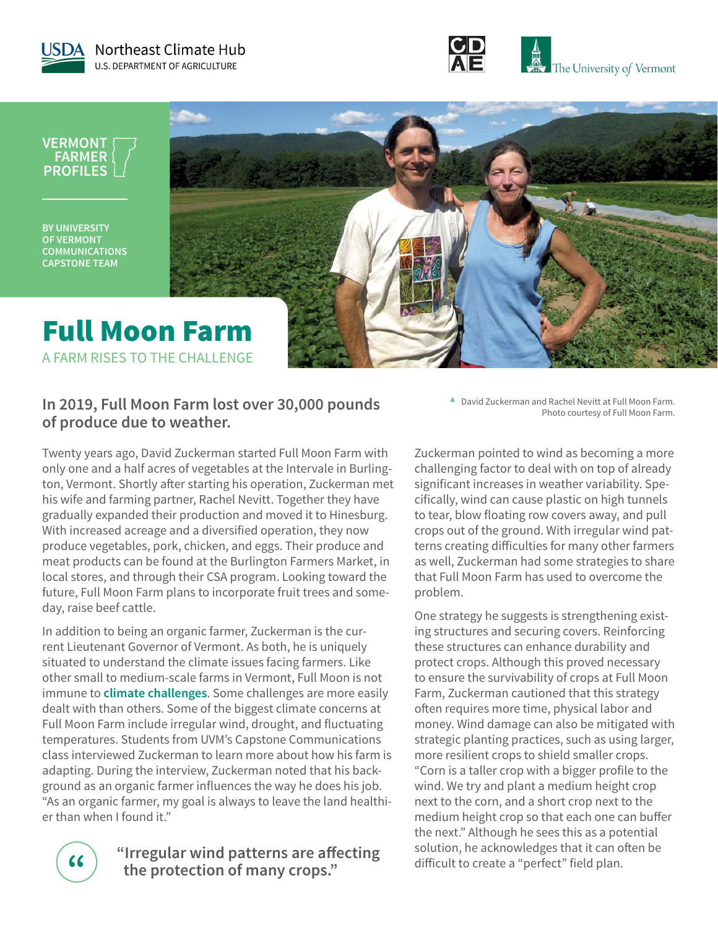



**VERMONT FARMER PROFILES**

**BY UNIVERSITY OF VERMONT COMMUNICATIONS CAPSTONE TEAM**



### **In 2019, Full Moon Farm lost over 30,000 pounds of produce due to weather.**

Twenty years ago, David Zuckerman started Full Moon Farm with only one and a half acres of vegetables at the Intervale in Burlington, Vermont. Shortly after starting his operation, Zuckerman met his wife and farming partner, Rachel Nevitt. Together they have gradually expanded their production and moved it to Hinesburg. With increased acreage and a diversified operation, they now produce vegetables, pork, chicken, and eggs. Their produce and meat products can be found at the Burlington Farmers Market, in local stores, and through their CSA program. Looking toward the future, Full Moon Farm plans to incorporate fruit trees and someday, raise beef cattle.

In addition to being an organic farmer, Zuckerman is the current Lieutenant Governor of Vermont. As both, he is uniquely situated to understand the climate issues facing farmers. Like other small to medium-scale farms in Vermont, Full Moon is not immune to **[climate challenges](https://nca2018.globalchange.gov/chapter/18/)**. Some challenges are more easily dealt with than others. Some of the biggest climate concerns at Full Moon Farm include irregular wind, drought, and fluctuating temperatures. Students from UVM's Capstone Communications class interviewed Zuckerman to learn more about how his farm is adapting. During the interview, Zuckerman noted that his background as an organic farmer influences the way he does his job. "As an organic farmer, my goal is always to leave the land healthier than when I found it."

> **" "Irregular wind patterns are affecting the protection of many crops."**

**▲** David Zuckerman and Rachel Nevitt at Full Moon Farm. Photo courtesy of Full Moon Farm.

Zuckerman pointed to wind as becoming a more challenging factor to deal with on top of already significant increases in weather variability. Specifically, wind can cause plastic on high tunnels to tear, blow floating row covers away, and pull crops out of the ground. With irregular wind patterns creating difficulties for many other farmers as well, Zuckerman had some strategies to share that Full Moon Farm has used to overcome the problem.

One strategy he suggests is strengthening existing structures and securing covers. Reinforcing these structures can enhance durability and protect crops. Although this proved necessary to ensure the survivability of crops at Full Moon Farm, Zuckerman cautioned that this strategy often requires more time, physical labor and money. Wind damage can also be mitigated with strategic planting practices, such as using larger, more resilient crops to shield smaller crops. "Corn is a taller crop with a bigger profile to the wind. We try and plant a medium height crop next to the corn, and a short crop next to the medium height crop so that each one can buffer the next." Although he sees this as a potential solution, he acknowledges that it can often be difficult to create a "perfect" field plan.